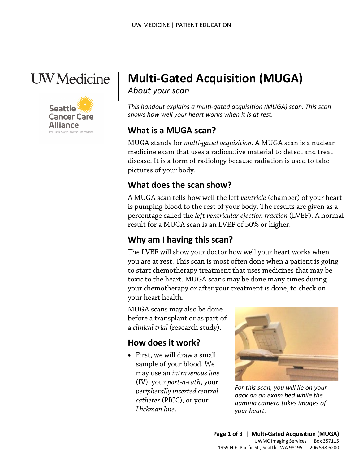



# | **Multi-Gated Acquisition (MUGA)**

*About your scan* 

*This handout explains a multi-gated acquisition (MUGA) scan. This scan shows how well your heart works when it is at rest.* 

#### **What is a MUGA scan?**

 MUGA stands for *multi-gated acquisition.* A MUGA scan is a nuclear pictures of your body. medicine exam that uses a radioactive material to detect and treat disease. It is a form of radiology because radiation is used to take

#### **What does the scan show?**

 is pumping blood to the rest of your body. The results are given as a A MUGA scan tells how well the left *ventricle* (chamber) of your heart percentage called the *left ventricular ejection fraction* (LVEF). A normal result for a MUGA scan is an LVEF of 50% or higher.

# **Why am I having this scan?**

 you are at rest. This scan is most often done when a patient is going to start chemotherapy treatment that uses medicines that may be toxic to the heart. MUGA scans may be done many times during The LVEF will show your doctor how well your heart works when your chemotherapy or after your treatment is done, to check on your heart health.

 before a transplant or as part of MUGA scans may also be done a *clinical trial* (research study).

# **How does it work?**

 *catheter* (PICC), or your • First, we will draw a small sample of your blood. We may use an *intravenous line*  (IV), your *port-a-cath*, your *peripherally inserted central Hickman line*.

 $\_$  ,  $\_$  ,  $\_$  ,  $\_$  ,  $\_$  ,  $\_$  ,  $\_$  ,  $\_$  ,  $\_$  ,  $\_$  ,  $\_$  ,  $\_$  ,  $\_$  ,  $\_$  ,  $\_$  ,  $\_$  ,  $\_$  ,  $\_$  ,  $\_$  ,  $\_$  ,  $\_$  ,  $\_$  ,  $\_$  ,  $\_$  ,  $\_$  ,  $\_$  ,  $\_$  ,  $\_$  ,  $\_$  ,  $\_$  ,  $\_$  ,  $\_$  ,  $\_$  ,  $\_$  ,  $\_$  ,  $\_$  ,  $\_$  ,



 *For this scan, you will lie on your back on an exam bed while the gamma camera takes images of your heart.*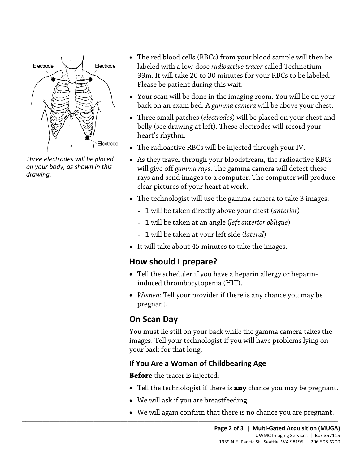

 *Three electrodes will be placed on your body, as shown in this drawing.* 

- The red blood cells (RBCs) from your blood sample will then be labeled with a low-dose *radioactive tracer* called Technetium-99m. It will take 20 to 30 minutes for your RBCs to be labeled. Please be patient during this wait.
- Your scan will be done in the imaging room. You will lie on your back on an exam bed. A *gamma camera* will be above your chest.
- Three small patches (*electrodes*) will be placed on your chest and belly (see drawing at left). These electrodes will record your heart's rhythm.
- The radioactive RBCs will be injected through your IV.
- rays and send images to a computer. The computer will produce • As they travel through your bloodstream, the radioactive RBCs will give off *gamma rays*. The gamma camera will detect these clear pictures of your heart at work.
- The technologist will use the gamma camera to take 3 images:
	- 1 will be taken directly above your chest (*anterior*)
	- 1 will be taken at an angle (*left anterior oblique*)
	- 1 will be taken at your left side (*lateral*)
- It will take about 45 minutes to take the images.

# **How should I prepare?**

- Tell the scheduler if you have a heparin allergy or heparininduced thrombocytopenia (HIT).
- *Women:* Tell your provider if there is any chance you may be pregnant.

# **On Scan Day**

You must lie still on your back while the gamma camera takes the images. Tell your technologist if you will have problems lying on your back for that long.

#### **If You Are a Woman of Childbearing Age**

**Before** the tracer is injected:

- Tell the technologist if there is **any** chance you may be pregnant.
- We will ask if you are breastfeeding.

 $\_$  ,  $\_$  ,  $\_$  ,  $\_$  ,  $\_$  ,  $\_$  ,  $\_$  ,  $\_$  ,  $\_$  ,  $\_$  ,  $\_$  ,  $\_$  ,  $\_$  ,  $\_$  ,  $\_$  ,  $\_$  ,  $\_$  ,  $\_$  ,  $\_$  ,  $\_$  ,  $\_$  ,  $\_$  ,  $\_$  ,  $\_$  ,  $\_$  ,  $\_$  ,  $\_$  ,  $\_$  ,  $\_$  ,  $\_$  ,  $\_$  ,  $\_$  ,  $\_$  ,  $\_$  ,  $\_$  ,  $\_$  ,  $\_$  ,

• We will again confirm that there is no chance you are pregnant.